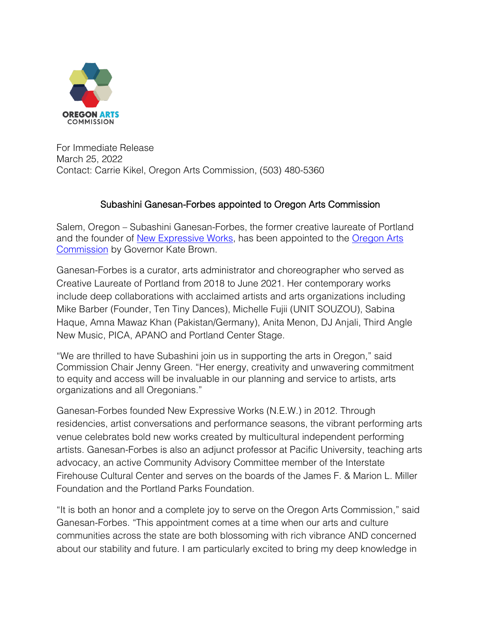

For Immediate Release March 25, 2022 Contact: Carrie Kikel, Oregon Arts Commission, (503) 480-5360

## Subashini Ganesan-Forbes appointed to Oregon Arts Commission

Salem, Oregon – Subashini Ganesan-Forbes, the former creative laureate of Portland and the founder of [New Expressive Works,](https://newexpressiveworks.org/) has been appointed to the [Oregon Arts](https://www.oregonartscommission.org/)  [Commission](https://www.oregonartscommission.org/) by Governor Kate Brown.

Ganesan-Forbes is a curator, arts administrator and choreographer who served as Creative Laureate of Portland from 2018 to June 2021. Her contemporary works include deep collaborations with acclaimed artists and arts organizations including Mike Barber (Founder, Ten Tiny Dances), Michelle Fujii (UNIT SOUZOU), Sabina Haque, Amna Mawaz Khan (Pakistan/Germany), Anita Menon, DJ Anjali, Third Angle New Music, PICA, APANO and Portland Center Stage.

"We are thrilled to have Subashini join us in supporting the arts in Oregon," said Commission Chair Jenny Green. "Her energy, creativity and unwavering commitment to equity and access will be invaluable in our planning and service to artists, arts organizations and all Oregonians."

Ganesan-Forbes founded New Expressive Works (N.E.W.) in 2012. Through residencies, artist conversations and performance seasons, the vibrant performing arts venue celebrates bold new works created by multicultural independent performing artists. Ganesan-Forbes is also an adjunct professor at Pacific University, teaching arts advocacy, an active Community Advisory Committee member of the Interstate Firehouse Cultural Center and serves on the boards of the James F. & Marion L. Miller Foundation and the Portland Parks Foundation.

"It is both an honor and a complete joy to serve on the Oregon Arts Commission," said Ganesan-Forbes. "This appointment comes at a time when our arts and culture communities across the state are both blossoming with rich vibrance AND concerned about our stability and future. I am particularly excited to bring my deep knowledge in